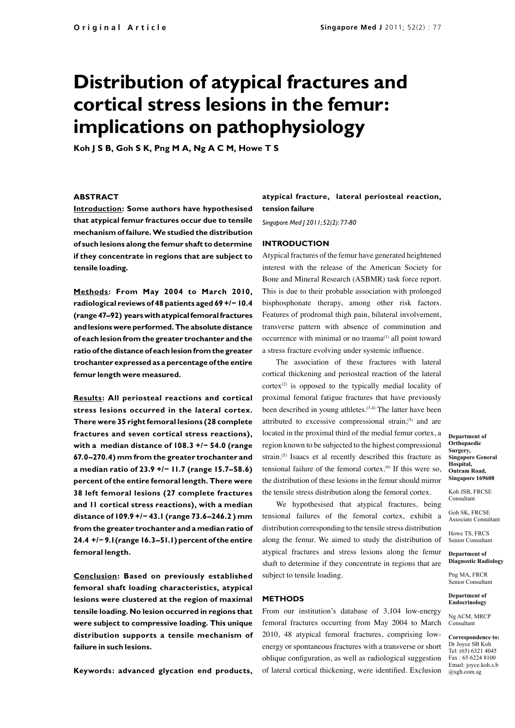# **Distribution of atypical fractures and cortical stress lesions in the femur: implications on pathophysiology**

**Koh J S B, Goh S K, Png M A, Ng A C M, Howe T S**

## **ABSTRACT**

**Introduction: Some authors have hypothesised that atypical femur fractures occur due to tensile mechanism of failure. We studied the distribution of such lesions along the femur shaft to determine if they concentrate in regions that are subject to tensile loading.**

**Methods : From May 2004 to March 2010, radiological reviews of 48 patients aged 69 +/− 10.4 (range 47–92) years with atypical femoral fractures and lesions were performed. The absolute distance of each lesion from the greater trochanter and the ratio of the distance of each lesion from the greater trochanter expressed as a percentage of the entire femur length were measured.**

**Results: All periosteal reactions and cortical stress lesions occurred in the lateral cortex. There were 35 right femoral lesions (28 complete fractures and seven cortical stress reactions), with a median distance of 108.3 +/− 54.0 (range 67.0–270.4) mm from the greater trochanter and a median ratio of 23.9 +/− 11.7 (range 15.7–58.6) percent of the entire femoral length. There were 38 left femoral lesions (27 complete fractures and 11 cortical stress reactions), with a median distance of 109.9 +/− 43.1 (range 73.6–246.2 ) mm from the greater trochanter and a median ratio of 24.4 +/− 9.1(range 16.3–51.1) percent of the entire femoral length.**

**Conclusion: Based on previously established femoral shaft loading characteristics, atypical lesions were clustered at the region of maximal tensile loading. No lesion occurred in regions that were subject to compressive loading. This unique distribution supports a tensile mechanism of failure in such lesions.**

**Keywords: advanced glycation end products,** 

# **atypical fracture, lateral periosteal reaction, tension failure**

*Singapore Med J 2011; 52(2): 77-80*

#### **Introduction**

Atypical fractures of the femur have generated heightened interest with the release of the American Society for Bone and Mineral Research (ASBMR) task force report. This is due to their probable association with prolonged bisphosphonate therapy, among other risk factors. Features of prodromal thigh pain, bilateral involvement, transverse pattern with absence of comminution and occurrence with minimal or no trauma<sup>(1)</sup> all point toward a stress fracture evolving under systemic influence.

The association of these fractures with lateral cortical thickening and periosteal reaction of the lateral  $cortex^{(2)}$  is opposed to the typically medial locality of proximal femoral fatigue fractures that have previously been described in young athletes.<sup>(3,4)</sup> The latter have been attributed to excessive compressional strain,<sup>(5)</sup> and are located in the proximal third of the medial femur cortex, a region known to be subjected to the highest compressional strain.<sup>(5)</sup> Isaacs et al recently described this fracture as tensional failure of the femoral cortex.(6) If this were so, the distribution of these lesions in the femur should mirror the tensile stress distribution along the femoral cortex.

We hypothesised that atypical fractures, being tensional failures of the femoral cortex, exhibit a distribution corresponding to the tensile stress distribution along the femur. We aimed to study the distribution of atypical fractures and stress lesions along the femur shaft to determine if they concentrate in regions that are subject to tensile loading.

#### **Methods**

From our institution's database of 3,104 low-energy femoral fractures occurring from May 2004 to March 2010, 48 atypical femoral fractures, comprising lowenergy or spontaneous fractures with a transverse or short oblique configuration, as well as radiological suggestion of lateral cortical thickening, were identified. Exclusion

**Department of Orthopaedic Surgery, Singapore General Hospital, Outram Road, Singapore 169608** 

Koh JSB, FRCSE Consultant

Goh SK, FRCSE Associate Consultant

Howe TS, FRCS Senior Consultant

**Department of Diagnostic Radiology**

Png MA, FRCR Senior Consultant

**Department of Endocrinology**

Ng ACM, MRCP Consultant

**Correspondence to:**  Dr Joyce SB Koh Tel: (65) 6321 4045 Fax : 65 6224 8100 Email: joyce.koh.s.b @sgh.com.sg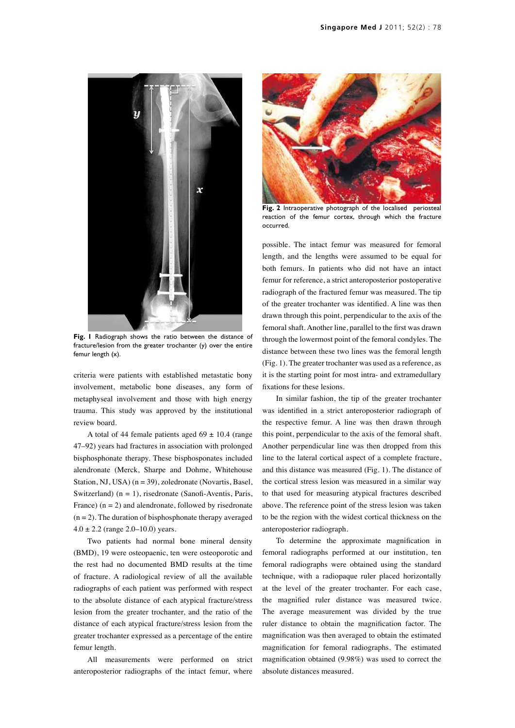

**Fig. 1** Radiograph shows the ratio between the distance of fracture/lesion from the greater trochanter (y) over the entire femur length (x).

criteria were patients with established metastatic bony involvement, metabolic bone diseases, any form of metaphyseal involvement and those with high energy trauma. This study was approved by the institutional review board.

A total of 44 female patients aged  $69 \pm 10.4$  (range 47–92) years had fractures in association with prolonged bisphosphonate therapy. These bisphosponates included alendronate (Merck, Sharpe and Dohme, Whitehouse Station, NJ, USA) (n = 39), zoledronate (Novartis, Basel, Switzerland)  $(n = 1)$ , risedronate (Sanofi-Aventis, Paris, France)  $(n = 2)$  and alendronate, followed by risedronate  $(n = 2)$ . The duration of bisphosphonate therapy averaged  $4.0 \pm 2.2$  (range 2.0–10.0) years.

Two patients had normal bone mineral density (BMD), 19 were osteopaenic, ten were osteoporotic and the rest had no documented BMD results at the time of fracture. A radiological review of all the available radiographs of each patient was performed with respect to the absolute distance of each atypical fracture/stress lesion from the greater trochanter, and the ratio of the distance of each atypical fracture/stress lesion from the greater trochanter expressed as a percentage of the entire femur length.

All measurements were performed on strict anteroposterior radiographs of the intact femur, where



**Fig. 2** Intraoperative photograph of the localised periosteal reaction of the femur cortex, through which the fracture occurred.

possible. The intact femur was measured for femoral length, and the lengths were assumed to be equal for both femurs. In patients who did not have an intact femur for reference, a strict anteroposterior postoperative radiograph of the fractured femur was measured. The tip of the greater trochanter was identified. A line was then drawn through this point, perpendicular to the axis of the femoral shaft. Another line, parallel to the first was drawn through the lowermost point of the femoral condyles. The distance between these two lines was the femoral length (Fig. 1). The greater trochanter was used as a reference, as it is the starting point for most intra- and extramedullary fixations for these lesions.

In similar fashion, the tip of the greater trochanter was identified in a strict anteroposterior radiograph of the respective femur. A line was then drawn through this point, perpendicular to the axis of the femoral shaft. Another perpendicular line was then dropped from this line to the lateral cortical aspect of a complete fracture, and this distance was measured (Fig. 1). The distance of the cortical stress lesion was measured in a similar way to that used for measuring atypical fractures described above. The reference point of the stress lesion was taken to be the region with the widest cortical thickness on the anteroposterior radiograph.

To determine the approximate magnification in femoral radiographs performed at our institution, ten femoral radiographs were obtained using the standard technique, with a radiopaque ruler placed horizontally at the level of the greater trochanter. For each case, the magnified ruler distance was measured twice. The average measurement was divided by the true ruler distance to obtain the magnification factor. The magnification was then averaged to obtain the estimated magnification for femoral radiographs. The estimated magnification obtained (9.98%) was used to correct the absolute distances measured.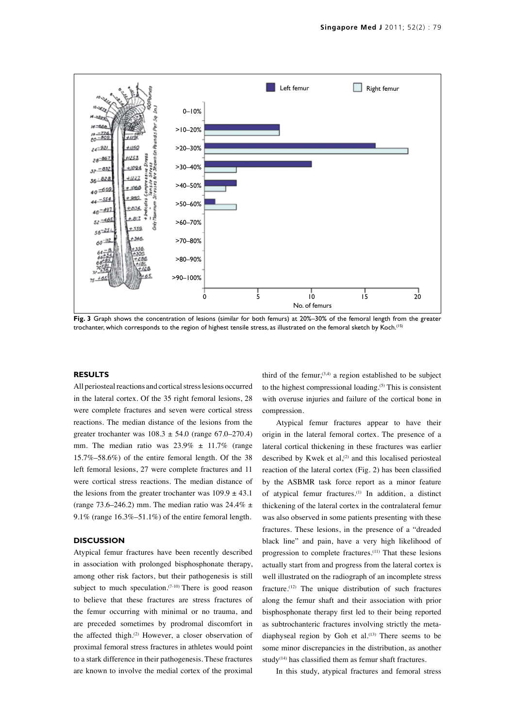

**Fig. 3** Graph shows the concentration of lesions (similar for both femurs) at 20%–30% of the femoral length from the greater trochanter, which corresponds to the region of highest tensile stress, as illustrated on the femoral sketch by Koch.(15)

### **Results**

All periosteal reactions and cortical stress lesions occurred in the lateral cortex. Of the 35 right femoral lesions, 28 were complete fractures and seven were cortical stress reactions. The median distance of the lesions from the greater trochanter was  $108.3 \pm 54.0$  (range 67.0–270.4) mm. The median ratio was  $23.9\% \pm 11.7\%$  (range 15.7%–58.6%) of the entire femoral length. Of the 38 left femoral lesions, 27 were complete fractures and 11 were cortical stress reactions. The median distance of the lesions from the greater trochanter was  $109.9 \pm 43.1$ (range 73.6–246.2) mm. The median ratio was  $24.4\% \pm$ 9.1% (range 16.3%–51.1%) of the entire femoral length.

#### **Discussion**

Atypical femur fractures have been recently described in association with prolonged bisphosphonate therapy, among other risk factors, but their pathogenesis is still subject to much speculation.<sup>(7-10)</sup> There is good reason to believe that these fractures are stress fractures of the femur occurring with minimal or no trauma, and are preceded sometimes by prodromal discomfort in the affected thigh.<sup>(2)</sup> However, a closer observation of proximal femoral stress fractures in athletes would point to a stark difference in their pathogenesis. These fractures are known to involve the medial cortex of the proximal

third of the femur,  $(3,4)$  a region established to be subject to the highest compressional loading.(5) This is consistent with overuse injuries and failure of the cortical bone in compression.

Atypical femur fractures appear to have their origin in the lateral femoral cortex. The presence of a lateral cortical thickening in these fractures was earlier described by Kwek et al, $(2)$  and this localised periosteal reaction of the lateral cortex (Fig. 2) has been classified by the ASBMR task force report as a minor feature of atypical femur fractures.(1) In addition, a distinct thickening of the lateral cortex in the contralateral femur was also observed in some patients presenting with these fractures. These lesions, in the presence of a "dreaded black line" and pain, have a very high likelihood of progression to complete fractures.(11) That these lesions actually start from and progress from the lateral cortex is well illustrated on the radiograph of an incomplete stress fracture.(12) The unique distribution of such fractures along the femur shaft and their association with prior bisphosphonate therapy first led to their being reported as subtrochanteric fractures involving strictly the metadiaphyseal region by Goh et al. $(13)$  There seems to be some minor discrepancies in the distribution, as another study<sup> $(14)$ </sup> has classified them as femur shaft fractures.

In this study, atypical fractures and femoral stress